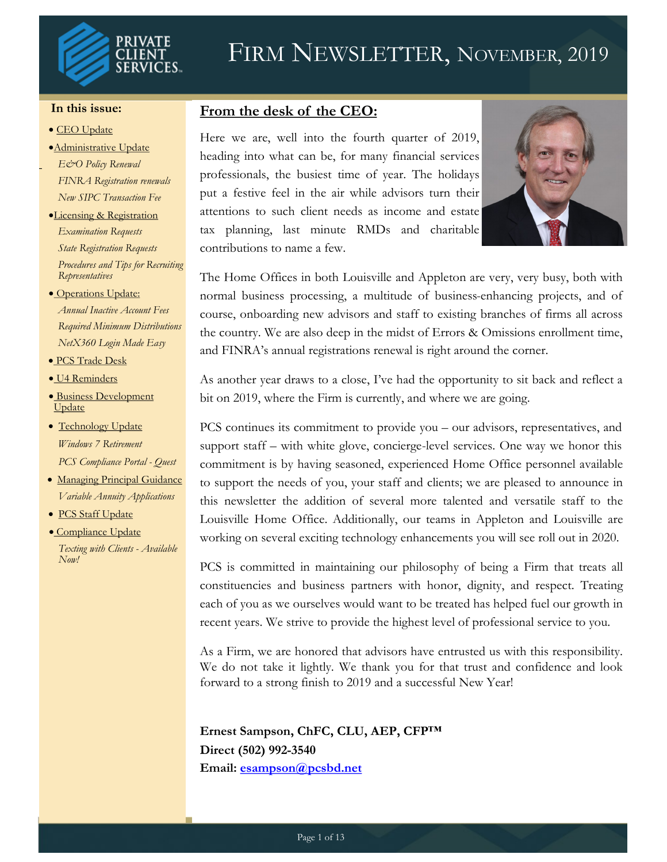

# FIRM NEWSLETTER, NOVEMBER, 2019

#### **In this issue:**

- CEO Update
- •Administrative Update
- *E&O Policy Renewal FINRA Registration renewals New SIPC Transaction Fee*
- •Licensing & Registration *Examination Requests State Registration Requests Procedures and Tips for Recruiting Representatives*
- Operations Update: *Annual Inactive Account Fees Required Minimum Distributions NetX360 Login Made Easy*
- PCS Trade Desk
- U4 Reminders
- Business Development Update
- Technology Update *Windows 7 Retirement PCS Compliance Portal - Quest*
- Managing Principal Guidance *Variable Annuity Applications*
- PCS Staff Update

*Now!*

• Compliance Update *Texting with Clients - Available* 

#### **From the desk of the CEO:**

Here we are, well into the fourth quarter of 2019, heading into what can be, for many financial services professionals, the busiest time of year. The holidays put a festive feel in the air while advisors turn their attentions to such client needs as income and estate tax planning, last minute RMDs and charitable contributions to name a few.



The Home Offices in both Louisville and Appleton are very, very busy, both with normal business processing, a multitude of business-enhancing projects, and of course, onboarding new advisors and staff to existing branches of firms all across the country. We are also deep in the midst of Errors & Omissions enrollment time, and FINRA's annual registrations renewal is right around the corner.

As another year draws to a close, I've had the opportunity to sit back and reflect a bit on 2019, where the Firm is currently, and where we are going.

PCS continues its commitment to provide you – our advisors, representatives, and support staff – with white glove, concierge-level services. One way we honor this commitment is by having seasoned, experienced Home Office personnel available to support the needs of you, your staff and clients; we are pleased to announce in this newsletter the addition of several more talented and versatile staff to the Louisville Home Office. Additionally, our teams in Appleton and Louisville are working on several exciting technology enhancements you will see roll out in 2020.

PCS is committed in maintaining our philosophy of being a Firm that treats all constituencies and business partners with honor, dignity, and respect. Treating each of you as we ourselves would want to be treated has helped fuel our growth in recent years. We strive to provide the highest level of professional service to you.

As a Firm, we are honored that advisors have entrusted us with this responsibility. We do not take it lightly. We thank you for that trust and confidence and look forward to a strong finish to 2019 and a successful New Year!

**Ernest Sampson, ChFC, CLU, AEP, CFP™ Direct (502) 992-3540 Email: [esampson@pcsbd.net](mailto:esampson@pcsbd.net)**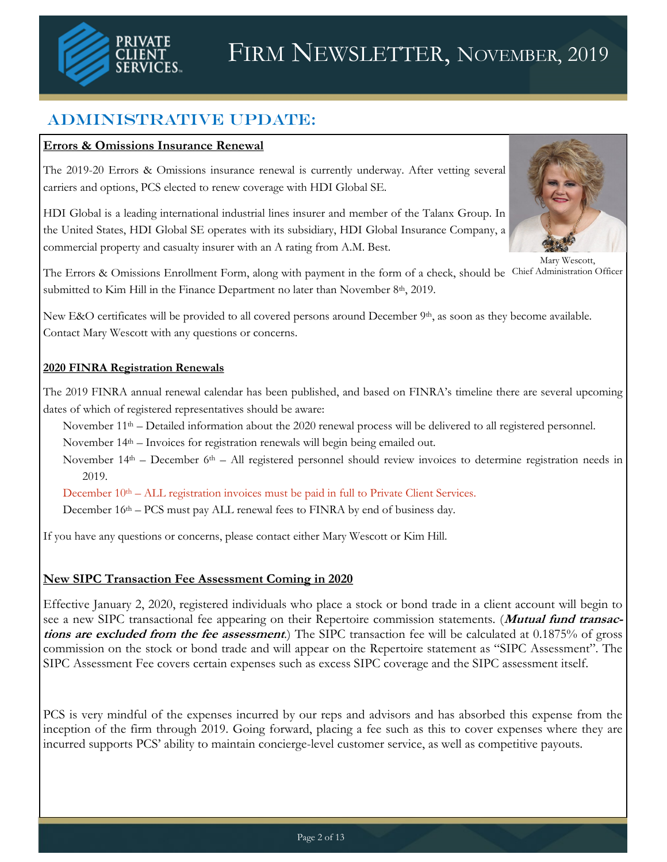

## Administrative Update:

#### **Errors & Omissions Insurance Renewal**

The 2019-20 Errors & Omissions insurance renewal is currently underway. After vetting several carriers and options, PCS elected to renew coverage with HDI Global SE.

HDI Global is a leading international industrial lines insurer and member of the Talanx Group. In the United States, HDI Global SE operates with its subsidiary, HDI Global Insurance Company, a commercial property and casualty insurer with an A rating from A.M. Best.



Mary Wescott,

The Errors & Omissions Enrollment Form, along with payment in the form of a check, should be Chief Administration Officersubmitted to Kim Hill in the Finance Department no later than November 8<sup>th</sup>, 2019.

New E&O certificates will be provided to all covered persons around December  $9<sup>th</sup>$ , as soon as they become available. Contact Mary Wescott with any questions or concerns.

#### **2020 FINRA Registration Renewals**

The 2019 FINRA annual renewal calendar has been published, and based on FINRA's timeline there are several upcoming dates of which of registered representatives should be aware:

November 11<sup>th</sup> – Detailed information about the 2020 renewal process will be delivered to all registered personnel.

November 14th – Invoices for registration renewals will begin being emailed out.

November  $14<sup>th</sup>$  – December 6<sup>th</sup> – All registered personnel should review invoices to determine registration needs in 2019.

December  $10<sup>th</sup> - ALL registration involves must be paid in full to Private Client Services.$ 

December 16<sup>th</sup> – PCS must pay ALL renewal fees to FINRA by end of business day.

If you have any questions or concerns, please contact either Mary Wescott or Kim Hill.

#### **New SIPC Transaction Fee Assessment Coming in 2020**

Effective January 2, 2020, registered individuals who place a stock or bond trade in a client account will begin to see a new SIPC transactional fee appearing on their Repertoire commission statements. (**Mutual fund transactions are excluded from the fee assessment**.) The SIPC transaction fee will be calculated at 0.1875% of gross commission on the stock or bond trade and will appear on the Repertoire statement as "SIPC Assessment". The SIPC Assessment Fee covers certain expenses such as excess SIPC coverage and the SIPC assessment itself.

PCS is very mindful of the expenses incurred by our reps and advisors and has absorbed this expense from the inception of the firm through 2019. Going forward, placing a fee such as this to cover expenses where they are incurred supports PCS' ability to maintain concierge-level customer service, as well as competitive payouts.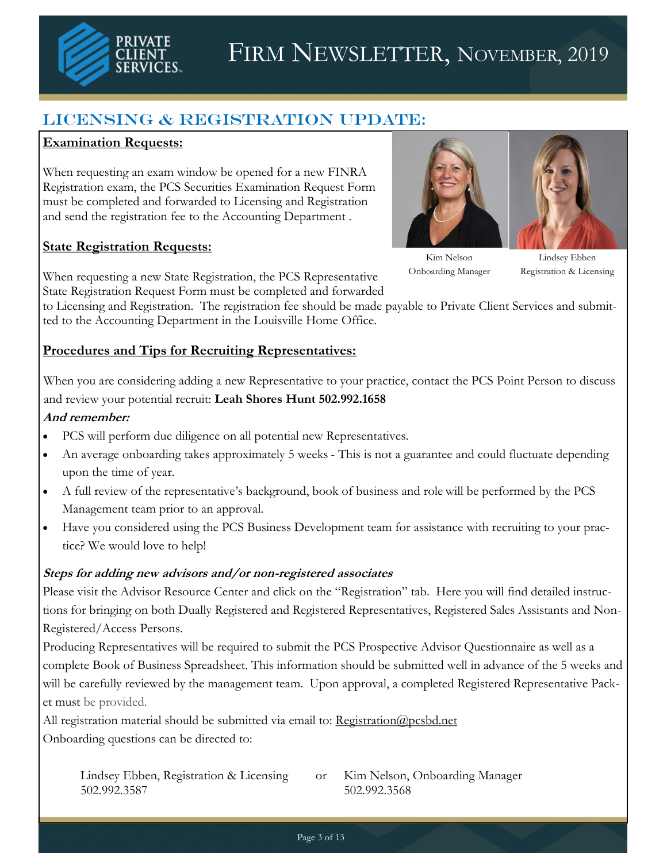

# FIRM NEWSLETTER, NOVEMBER, 2019

## LICENSING & REGISTRATION UPDATE:

#### **Examination Requests:**

When requesting an exam window be opened for a new FINRA Registration exam, the PCS Securities Examination Request Form must be completed and forwarded to Licensing and Registration and send the registration fee to the Accounting Department .

#### **State Registration Requests:**



Kim Nelson Onboarding Manager

Lindsey Ebben Registration & Licensing

When requesting a new State Registration, the PCS Representative State Registration Request Form must be completed and forwarded

to Licensing and Registration. The registration fee should be made payable to Private Client Services and submitted to the Accounting Department in the Louisville Home Office.

#### **Procedures and Tips for Recruiting Representatives:**

When you are considering adding a new Representative to your practice, contact the PCS Point Person to discuss and review your potential recruit: **Leah Shores Hunt 502.992.1658**

#### **And remember:**

- PCS will perform due diligence on all potential new Representatives.
- An average onboarding takes approximately 5 weeks This is not a guarantee and could fluctuate depending upon the time of year.
- A full review of the representative's background, book of business and role will be performed by the PCS Management team prior to an approval.
- Have you considered using the PCS Business Development team for assistance with recruiting to your practice? We would love to help!

#### **Steps for adding new advisors and/or non-registered associates**

Please visit the Advisor Resource Center and click on the "Registration" tab. Here you will find detailed instructions for bringing on both Dually Registered and Registered Representatives, Registered Sales Assistants and Non-Registered/Access Persons.

Producing Representatives will be required to submit the PCS Prospective Advisor Questionnaire as well as a complete Book of Business Spreadsheet. This information should be submitted well in advance of the 5 weeks and will be carefully reviewed by the management team. Upon approval, a completed Registered Representative Packet must be provided.

All registration material should be submitted via email to: [Registration@pcsbd.net](mailto:Registration@pcsbd.net) Onboarding questions can be directed to:

Lindsey Ebben, Registration & Licensing or Kim Nelson, Onboarding Manager 502.992.3587 502.992.3568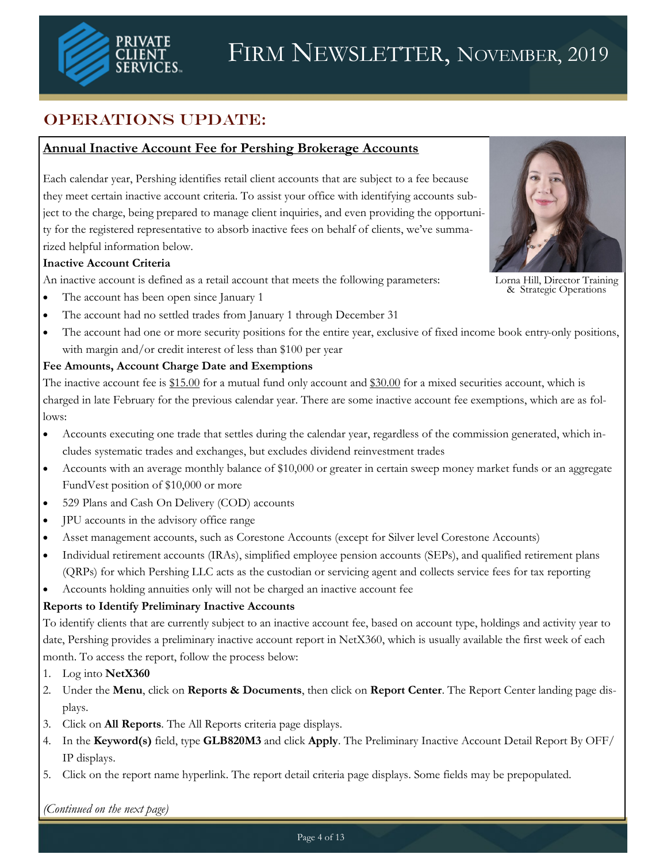

## OPERATIONS UPDATE:

#### **Annual Inactive Account Fee for Pershing Brokerage Accounts**

Each calendar year, Pershing identifies retail client accounts that are subject to a fee because they meet certain inactive account criteria. To assist your office with identifying accounts subject to the charge, being prepared to manage client inquiries, and even providing the opportunity for the registered representative to absorb inactive fees on behalf of clients, we've summarized helpful information below.

#### **Inactive Account Criteria**

An inactive account is defined as a retail account that meets the following parameters:



Lorna Hill, Director Training & Strategic Operations

- The account has been open since January 1
- The account had no settled trades from January 1 through December 31
- The account had one or more security positions for the entire year, exclusive of fixed income book entry-only positions, with margin and/or credit interest of less than \$100 per year

#### **Fee Amounts, Account Charge Date and Exemptions**

The inactive account fee is \$15.00 for a mutual fund only account and \$30.00 for a mixed securities account, which is charged in late February for the previous calendar year. There are some inactive account fee exemptions, which are as follows:

- Accounts executing one trade that settles during the calendar year, regardless of the commission generated, which includes systematic trades and exchanges, but excludes dividend reinvestment trades
- Accounts with an average monthly balance of \$10,000 or greater in certain sweep money market funds or an aggregate FundVest position of \$10,000 or more
- 529 Plans and Cash On Delivery (COD) accounts
- JPU accounts in the advisory office range
- Asset management accounts, such as Corestone Accounts (except for Silver level Corestone Accounts)
- Individual retirement accounts (IRAs), simplified employee pension accounts (SEPs), and qualified retirement plans (QRPs) for which Pershing LLC acts as the custodian or servicing agent and collects service fees for tax reporting
- Accounts holding annuities only will not be charged an inactive account fee

#### **Reports to Identify Preliminary Inactive Accounts**

To identify clients that are currently subject to an inactive account fee, based on account type, holdings and activity year to date, Pershing provides a preliminary inactive account report in NetX360, which is usually available the first week of each month. To access the report, follow the process below:

- 1. Log into **NetX360**
- 2. Under the **Menu**, click on **Reports & Documents**, then click on **Report Center**. The Report Center landing page displays.
- 3. Click on **All Reports**. The All Reports criteria page displays.
- 4. In the **Keyword(s)** field, type **GLB820M3** and click **Apply**. The Preliminary Inactive Account Detail Report By OFF/ IP displays.
- 5. Click on the report name hyperlink. The report detail criteria page displays. Some fields may be prepopulated.

*(Continued on the next page)*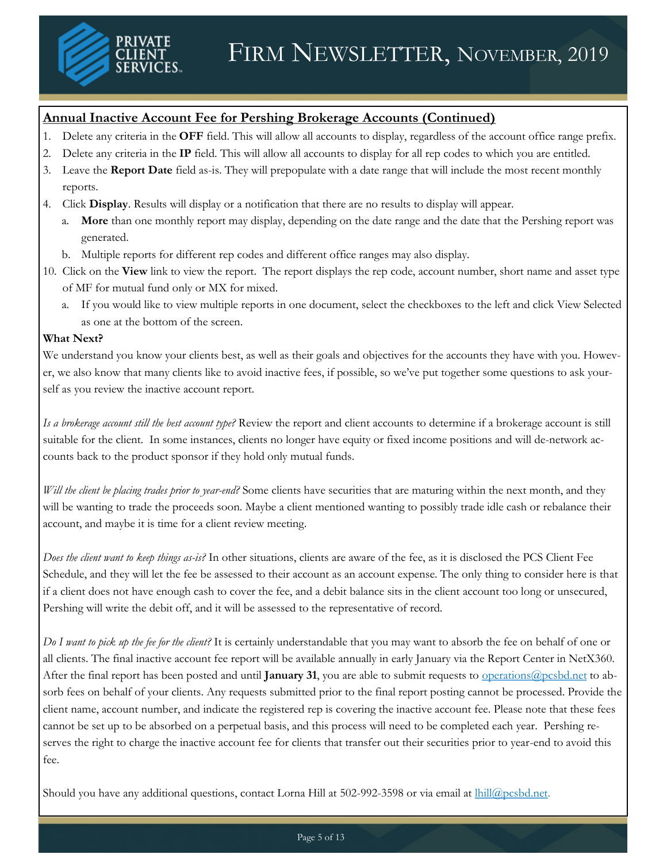

#### **Annual Inactive Account Fee for Pershing Brokerage Accounts (Continued)**

- 1. Delete any criteria in the **OFF** field. This will allow all accounts to display, regardless of the account office range prefix.
- 2. Delete any criteria in the **IP** field. This will allow all accounts to display for all rep codes to which you are entitled.
- 3. Leave the **Report Date** field as-is. They will prepopulate with a date range that will include the most recent monthly reports.
- 4. Click **Display**. Results will display or a notification that there are no results to display will appear.
	- a. **More** than one monthly report may display, depending on the date range and the date that the Pershing report was generated.
	- b. Multiple reports for different rep codes and different office ranges may also display.
- 10. Click on the **View** link to view the report. The report displays the rep code, account number, short name and asset type of MF for mutual fund only or MX for mixed.
	- a. If you would like to view multiple reports in one document, select the checkboxes to the left and click View Selected as one at the bottom of the screen.

#### **What Next?**

We understand you know your clients best, as well as their goals and objectives for the accounts they have with you. However, we also know that many clients like to avoid inactive fees, if possible, so we've put together some questions to ask yourself as you review the inactive account report.

*Is a brokerage account still the best account type?* Review the report and client accounts to determine if a brokerage account is still suitable for the client. In some instances, clients no longer have equity or fixed income positions and will de-network accounts back to the product sponsor if they hold only mutual funds.

*Will the client be placing trades prior to year-end?* Some clients have securities that are maturing within the next month, and they will be wanting to trade the proceeds soon. Maybe a client mentioned wanting to possibly trade idle cash or rebalance their account, and maybe it is time for a client review meeting.

*Does the client want to keep things as-is?* In other situations, clients are aware of the fee, as it is disclosed the PCS Client Fee Schedule, and they will let the fee be assessed to their account as an account expense. The only thing to consider here is that if a client does not have enough cash to cover the fee, and a debit balance sits in the client account too long or unsecured, Pershing will write the debit off, and it will be assessed to the representative of record.

*Do I want to pick up the fee for the client?* It is certainly understandable that you may want to absorb the fee on behalf of one or all clients. The final inactive account fee report will be available annually in early January via the Report Center in NetX360. After the final report has been posted and until **January 31**, you are able to submit requests to [operations@pcsbd.net](mailto:operations@pcsbd.net) to absorb fees on behalf of your clients. Any requests submitted prior to the final report posting cannot be processed. Provide the client name, account number, and indicate the registered rep is covering the inactive account fee. Please note that these fees cannot be set up to be absorbed on a perpetual basis, and this process will need to be completed each year. Pershing reserves the right to charge the inactive account fee for clients that transfer out their securities prior to year-end to avoid this fee.

Should you have any additional questions, contact Lorna Hill at 502-992-3598 or via email at *hill@pcsbd.net*.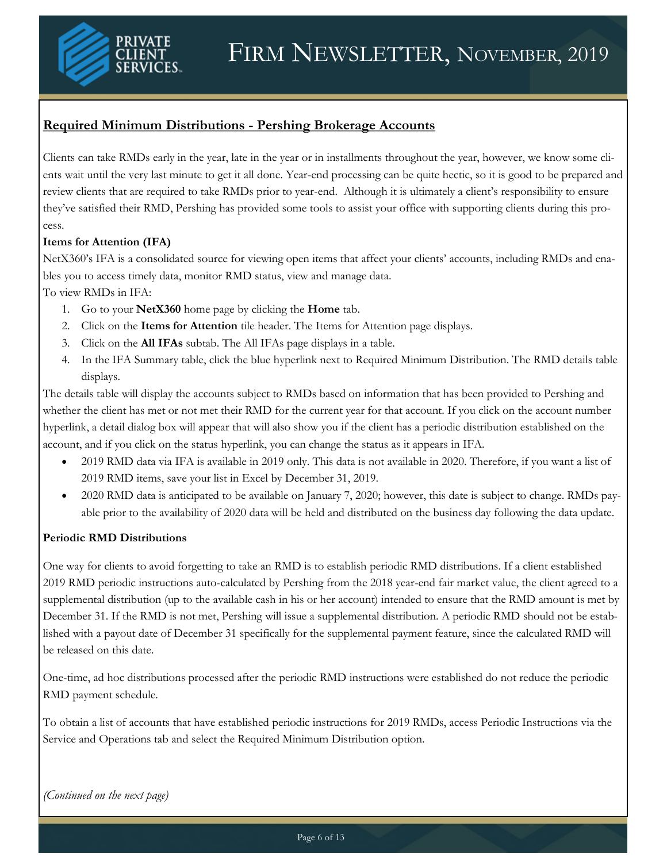

### **Required Minimum Distributions - Pershing Brokerage Accounts**

Clients can take RMDs early in the year, late in the year or in installments throughout the year, however, we know some clients wait until the very last minute to get it all done. Year-end processing can be quite hectic, so it is good to be prepared and review clients that are required to take RMDs prior to year-end. Although it is ultimately a client's responsibility to ensure they've satisfied their RMD, Pershing has provided some tools to assist your office with supporting clients during this process.

#### **Items for Attention (IFA)**

NetX360's IFA is a consolidated source for viewing open items that affect your clients' accounts, including RMDs and enables you to access timely data, monitor RMD status, view and manage data.

To view RMDs in IFA:

- 1. Go to your **NetX360** home page by clicking the **Home** tab.
- 2. Click on the **Items for Attention** tile header. The Items for Attention page displays.
- 3. Click on the **All IFAs** subtab. The All IFAs page displays in a table.
- 4. In the IFA Summary table, click the blue hyperlink next to Required Minimum Distribution. The RMD details table displays.

The details table will display the accounts subject to RMDs based on information that has been provided to Pershing and whether the client has met or not met their RMD for the current year for that account. If you click on the account number hyperlink, a detail dialog box will appear that will also show you if the client has a periodic distribution established on the account, and if you click on the status hyperlink, you can change the status as it appears in IFA.

- 2019 RMD data via IFA is available in 2019 only. This data is not available in 2020. Therefore, if you want a list of 2019 RMD items, save your list in Excel by December 31, 2019.
- 2020 RMD data is anticipated to be available on January 7, 2020; however, this date is subject to change. RMDs payable prior to the availability of 2020 data will be held and distributed on the business day following the data update.

#### **Periodic RMD Distributions**

One way for clients to avoid forgetting to take an RMD is to establish periodic RMD distributions. If a client established 2019 RMD periodic instructions auto-calculated by Pershing from the 2018 year-end fair market value, the client agreed to a supplemental distribution (up to the available cash in his or her account) intended to ensure that the RMD amount is met by December 31. If the RMD is not met, Pershing will issue a supplemental distribution. A periodic RMD should not be established with a payout date of December 31 specifically for the supplemental payment feature, since the calculated RMD will be released on this date.

One-time, ad hoc distributions processed after the periodic RMD instructions were established do not reduce the periodic RMD payment schedule.

To obtain a list of accounts that have established periodic instructions for 2019 RMDs, access Periodic Instructions via the Service and Operations tab and select the Required Minimum Distribution option.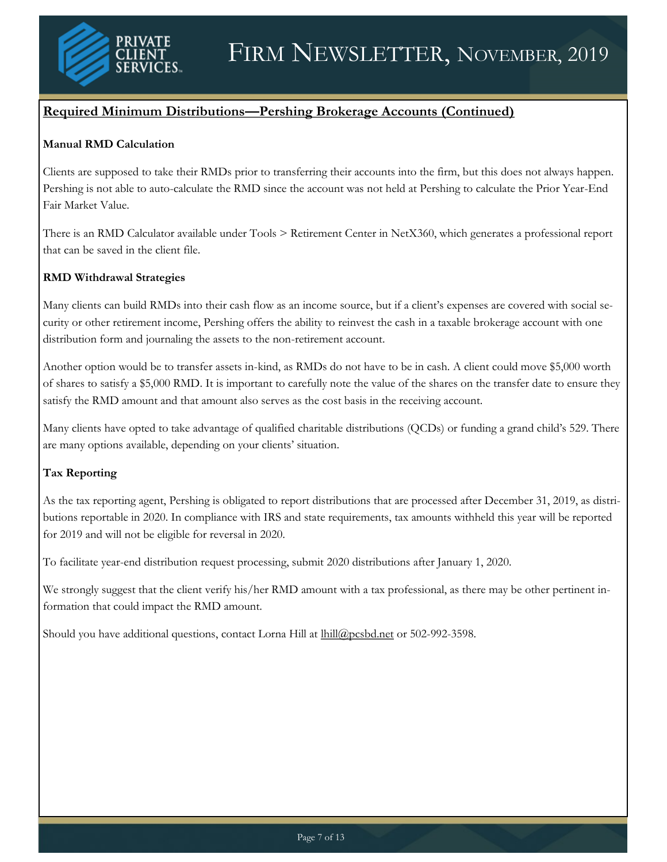

#### **Required Minimum Distributions—Pershing Brokerage Accounts (Continued)**

#### **Manual RMD Calculation**

Clients are supposed to take their RMDs prior to transferring their accounts into the firm, but this does not always happen. Pershing is not able to auto-calculate the RMD since the account was not held at Pershing to calculate the Prior Year-End Fair Market Value.

There is an RMD Calculator available under Tools > Retirement Center in NetX360, which generates a professional report that can be saved in the client file.

#### **RMD Withdrawal Strategies**

Many clients can build RMDs into their cash flow as an income source, but if a client's expenses are covered with social security or other retirement income, Pershing offers the ability to reinvest the cash in a taxable brokerage account with one distribution form and journaling the assets to the non-retirement account.

Another option would be to transfer assets in-kind, as RMDs do not have to be in cash. A client could move \$5,000 worth of shares to satisfy a \$5,000 RMD. It is important to carefully note the value of the shares on the transfer date to ensure they satisfy the RMD amount and that amount also serves as the cost basis in the receiving account.

Many clients have opted to take advantage of qualified charitable distributions (QCDs) or funding a grand child's 529. There are many options available, depending on your clients' situation.

#### **Tax Reporting**

As the tax reporting agent, Pershing is obligated to report distributions that are processed after December 31, 2019, as distributions reportable in 2020. In compliance with IRS and state requirements, tax amounts withheld this year will be reported for 2019 and will not be eligible for reversal in 2020.

To facilitate year-end distribution request processing, submit 2020 distributions after January 1, 2020.

We strongly suggest that the client verify his/her RMD amount with a tax professional, as there may be other pertinent information that could impact the RMD amount.

Should you have additional questions, contact Lorna Hill at [lhill@pcsbd.net](mailto:lhill@pcsbd.net) or 502-992-3598.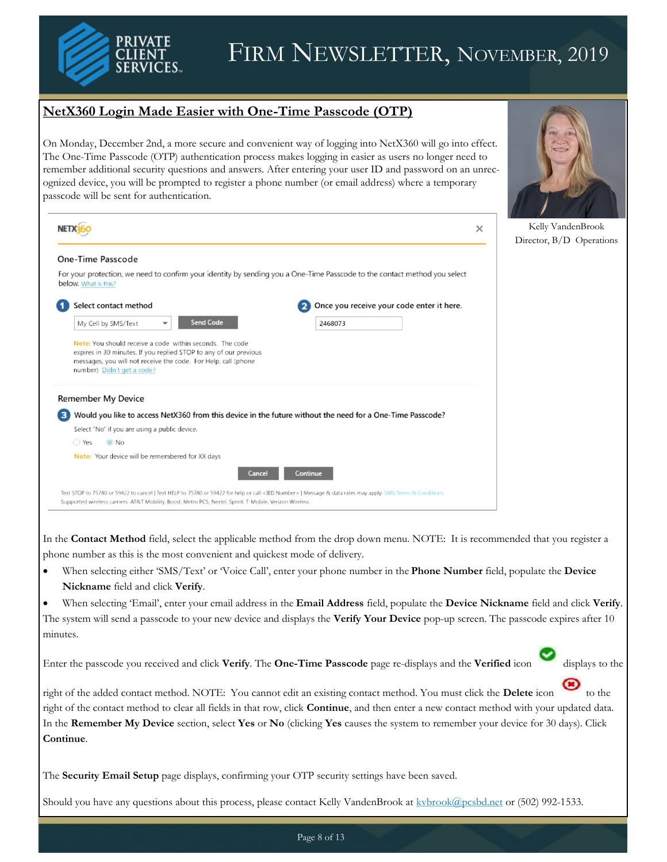

# FIRM NEWSLETTER, NOVEMBER, 2019

### **NetX360 Login Made Easier with One-Time Passcode (OTP)**

On Monday, December 2nd, a more secure and convenient way of logging into NetX360 will go into effect. The One-Time Passcode (OTP) authentication process makes logging in easier as users no longer need to remember additional security questions and answers. After entering your user ID and password on an unrecognized device, you will be prompted to register a phone number (or email address) where a temporary passcode will be sent for authentication.



|                                                                                                                                                                                                                                                            |                                                | Kelly VandenBrook<br>$\times$<br>Director, B/D Operations |
|------------------------------------------------------------------------------------------------------------------------------------------------------------------------------------------------------------------------------------------------------------|------------------------------------------------|-----------------------------------------------------------|
| One-Time Passcode                                                                                                                                                                                                                                          |                                                |                                                           |
| For your protection, we need to confirm your identity by sending you a One-Time Passcode to the contact method you select<br>below. What is this?                                                                                                          |                                                |                                                           |
| Select contact method                                                                                                                                                                                                                                      | Once you receive your code enter it here.<br>2 |                                                           |
| <b>Send Code</b><br>My Cell by SMS/Text<br>▼                                                                                                                                                                                                               | 2468073                                        |                                                           |
| Note: You should receive a code within seconds. The code<br>expires in 30 minutes. If you replied STOP to any of our previous<br>messages, you will not receive the code. For Help, call (phone<br>number) Didn't get a code?<br><b>Remember My Device</b> |                                                |                                                           |
| Would you like to access NetX360 from this device in the future without the need for a One-Time Passcode?<br>з                                                                                                                                             |                                                |                                                           |
| Select "No" if you are using a public device.                                                                                                                                                                                                              |                                                |                                                           |
| $\odot$ No<br>◯ Yes                                                                                                                                                                                                                                        |                                                |                                                           |
| Note: Your device will be remembered for XX days                                                                                                                                                                                                           |                                                |                                                           |
| Cancel                                                                                                                                                                                                                                                     | Continue                                       |                                                           |
| Text STOP to 75780 or 59422 to cancel   Text HELP to 75780 or 59422 for help or call <ibd number="">   Message &amp; data rates may apply: SMS Terms &amp; Conditions</ibd>                                                                                |                                                |                                                           |

In the **Contact Method** field, select the applicable method from the drop down menu. NOTE: It is recommended that you register a phone number as this is the most convenient and quickest mode of delivery.

- When selecting either 'SMS/Text' or 'Voice Call', enter your phone number in the **Phone Number** field, populate the **Device Nickname** field and click **Verify**.
- When selecting 'Email', enter your email address in the **Email Address** field, populate the **Device Nickname** field and click **Verify**. The system will send a passcode to your new device and displays the **Verify Your Device** pop-up screen. The passcode expires after 10 minutes.

Enter the passcode you received and click **Verify**. The **One-Time Passcode** page re-displays and the **Verified** icon displays to the



right of the added contact method. NOTE: You cannot edit an existing contact method. You must click the Delete icon right of the contact method to clear all fields in that row, click **Continue**, and then enter a new contact method with your updated data. In the **Remember My Device** section, select **Yes** or **No** (clicking **Yes** causes the system to remember your device for 30 days). Click **Continue**.

The **Security Email Setup** page displays, confirming your OTP security settings have been saved.

Should you have any questions about this process, please contact Kelly VandenBrook at [kvbrook@pcsbd.net](mailto:kvbrook@pcsbd.net) or (502) 992-1533.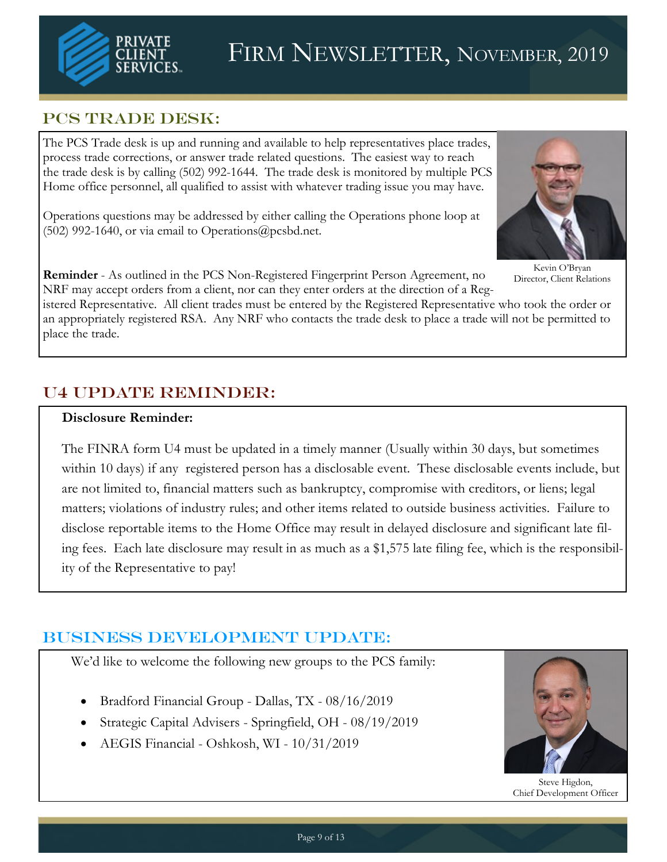

## PCS TRADE DESK:

The PCS Trade desk is up and running and available to help representatives place trades, process trade corrections, or answer trade related questions. The easiest way to reach the trade desk is by calling (502) 992-1644. The trade desk is monitored by multiple PCS Home office personnel, all qualified to assist with whatever trading issue you may have.

Operations questions may be addressed by either calling the Operations phone loop at (502) 992-1640, or via email to Operations@pcsbd.net.



Kevin O'Bryan Director, Client Relations

**Reminder** - As outlined in the PCS Non-Registered Fingerprint Person Agreement, no NRF may accept orders from a client, nor can they enter orders at the direction of a Reg-

istered Representative. All client trades must be entered by the Registered Representative who took the order or an appropriately registered RSA. Any NRF who contacts the trade desk to place a trade will not be permitted to place the trade.

## U4 Update Reminder:

#### **Disclosure Reminder:**

The FINRA form U4 must be updated in a timely manner (Usually within 30 days, but sometimes within 10 days) if any registered person has a disclosable event. These disclosable events include, but are not limited to, financial matters such as bankruptcy, compromise with creditors, or liens; legal matters; violations of industry rules; and other items related to outside business activities. Failure to disclose reportable items to the Home Office may result in delayed disclosure and significant late filing fees. Each late disclosure may result in as much as a \$1,575 late filing fee, which is the responsibility of the Representative to pay!

## Business Development UPDATE:

We'd like to welcome the following new groups to the PCS family:

- Bradford Financial Group Dallas, TX 08/16/2019
- Strategic Capital Advisers Springfield, OH 08/19/2019
- AEGIS Financial Oshkosh, WI 10/31/2019



Steve Higdon, Chief Development Officer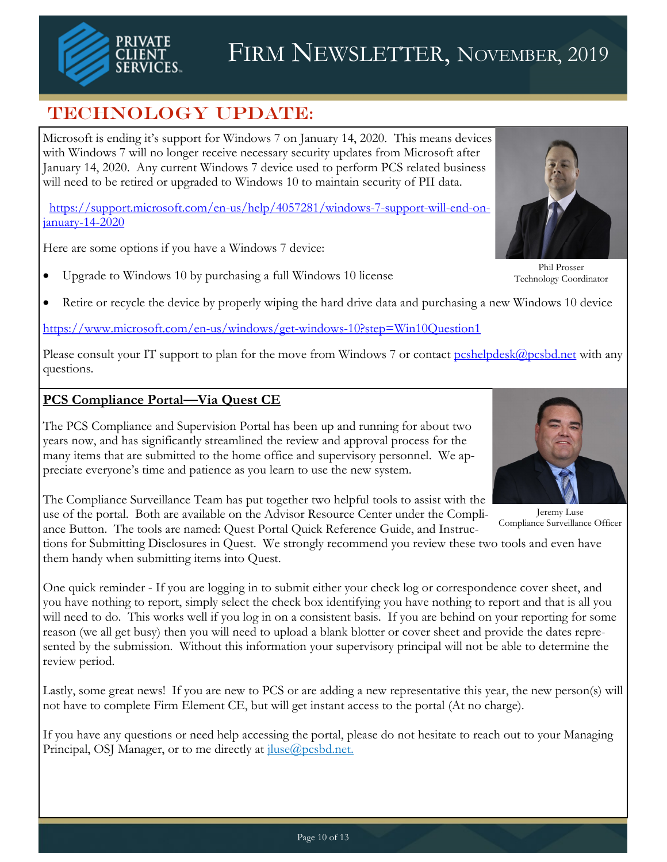

## TECHNOLOGY UPDATE:

Microsoft is ending it's support for Windows 7 on January 14, 2020. This means devices with Windows 7 will no longer receive necessary security updates from Microsoft after January 14, 2020. Any current Windows 7 device used to perform PCS related business will need to be retired or upgraded to Windows 10 to maintain security of PII data.

[https://support.microsoft.com/en-us/help/4057281/windows-7-support-will-end-on](https://support.microsoft.com/en-us/help/4057281/windows-7-support-will-end-on-january-14-2020)[january-14-2020](https://support.microsoft.com/en-us/help/4057281/windows-7-support-will-end-on-january-14-2020)

Here are some options if you have a Windows 7 device:

• Upgrade to Windows 10 by purchasing a full Windows 10 license



Retire or recycle the device by properly wiping the hard drive data and purchasing a new Windows 10 device

<https://www.microsoft.com/en-us/windows/get-windows-10?step=Win10Question1>

Please consult your IT support to plan for the move from Windows 7 or contact [pcshelpdesk@pcsbd.net](mailto:pcshelpdesk@pcsbd.net) with any questions.

### **PCS Compliance Portal—Via Quest CE**

The PCS Compliance and Supervision Portal has been up and running for about two years now, and has significantly streamlined the review and approval process for the many items that are submitted to the home office and supervisory personnel. We appreciate everyone's time and patience as you learn to use the new system.

The Compliance Surveillance Team has put together two helpful tools to assist with the use of the portal. Both are available on the Advisor Resource Center under the Compliance Button. The tools are named: Quest Portal Quick Reference Guide, and Instruc-

tions for Submitting Disclosures in Quest. We strongly recommend you review these two tools and even have them handy when submitting items into Quest.

One quick reminder - If you are logging in to submit either your check log or correspondence cover sheet, and you have nothing to report, simply select the check box identifying you have nothing to report and that is all you will need to do. This works well if you log in on a consistent basis. If you are behind on your reporting for some reason (we all get busy) then you will need to upload a blank blotter or cover sheet and provide the dates represented by the submission. Without this information your supervisory principal will not be able to determine the review period.

Lastly, some great news! If you are new to PCS or are adding a new representative this year, the new person(s) will not have to complete Firm Element CE, but will get instant access to the portal (At no charge).

If you have any questions or need help accessing the portal, please do not hesitate to reach out to your Managing Principal, OSJ Manager, or to me directly at  $\text{jluse}(Q)$  pcsbd.net.



Jeremy Luse Compliance Surveillance Officer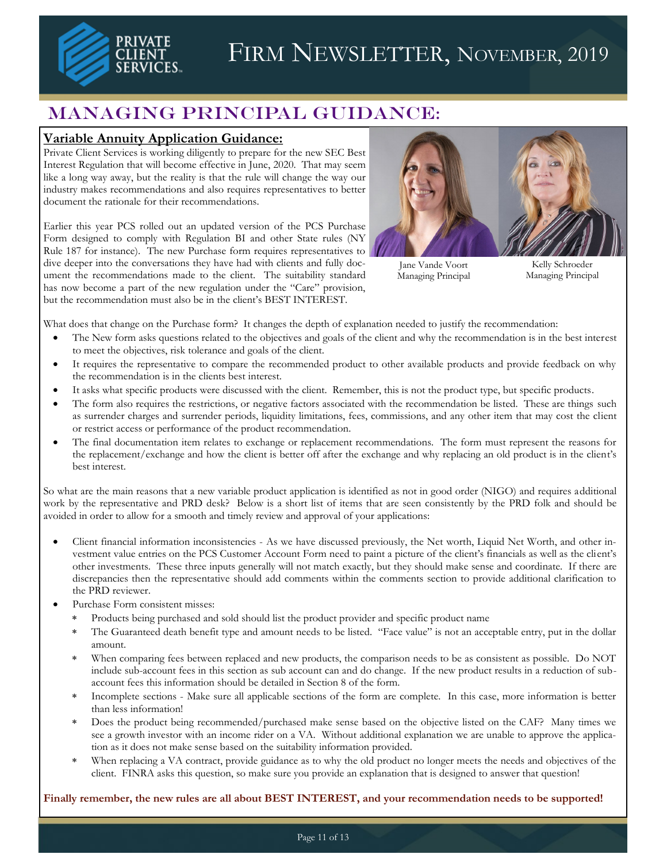

## Managing Principal Guidance:

#### **Variable Annuity Application Guidance:**

Private Client Services is working diligently to prepare for the new SEC Best Interest Regulation that will become effective in June, 2020. That may seem like a long way away, but the reality is that the rule will change the way our industry makes recommendations and also requires representatives to better document the rationale for their recommendations.

Earlier this year PCS rolled out an updated version of the PCS Purchase Form designed to comply with Regulation BI and other State rules (NY Rule 187 for instance). The new Purchase form requires representatives to dive deeper into the conversations they have had with clients and fully document the recommendations made to the client. The suitability standard has now become a part of the new regulation under the "Care" provision, but the recommendation must also be in the client's BEST INTEREST.



Jane Vande Voort Managing Principal

Kelly Schroeder Managing Principal

What does that change on the Purchase form? It changes the depth of explanation needed to justify the recommendation:

- The New form asks questions related to the objectives and goals of the client and why the recommendation is in the best interest to meet the objectives, risk tolerance and goals of the client.
- It requires the representative to compare the recommended product to other available products and provide feedback on why the recommendation is in the clients best interest.
- It asks what specific products were discussed with the client. Remember, this is not the product type, but specific products.
- The form also requires the restrictions, or negative factors associated with the recommendation be listed. These are things such as surrender charges and surrender periods, liquidity limitations, fees, commissions, and any other item that may cost the client or restrict access or performance of the product recommendation.
- The final documentation item relates to exchange or replacement recommendations. The form must represent the reasons for the replacement/exchange and how the client is better off after the exchange and why replacing an old product is in the client's best interest.

So what are the main reasons that a new variable product application is identified as not in good order (NIGO) and requires additional work by the representative and PRD desk? Below is a short list of items that are seen consistently by the PRD folk and should be avoided in order to allow for a smooth and timely review and approval of your applications:

- Client financial information inconsistencies As we have discussed previously, the Net worth, Liquid Net Worth, and other investment value entries on the PCS Customer Account Form need to paint a picture of the client's financials as well as the client's other investments. These three inputs generally will not match exactly, but they should make sense and coordinate. If there are discrepancies then the representative should add comments within the comments section to provide additional clarification to the PRD reviewer.
- Purchase Form consistent misses:
	- Products being purchased and sold should list the product provider and specific product name
	- The Guaranteed death benefit type and amount needs to be listed. "Face value" is not an acceptable entry, put in the dollar amount.
	- When comparing fees between replaced and new products, the comparison needs to be as consistent as possible. Do NOT include sub-account fees in this section as sub account can and do change. If the new product results in a reduction of subaccount fees this information should be detailed in Section 8 of the form.
	- Incomplete sections Make sure all applicable sections of the form are complete. In this case, more information is better than less information!
	- Does the product being recommended/purchased make sense based on the objective listed on the CAF? Many times we see a growth investor with an income rider on a VA. Without additional explanation we are unable to approve the application as it does not make sense based on the suitability information provided.
	- When replacing a VA contract, provide guidance as to why the old product no longer meets the needs and objectives of the client. FINRA asks this question, so make sure you provide an explanation that is designed to answer that question!

**Finally remember, the new rules are all about BEST INTEREST, and your recommendation needs to be supported!**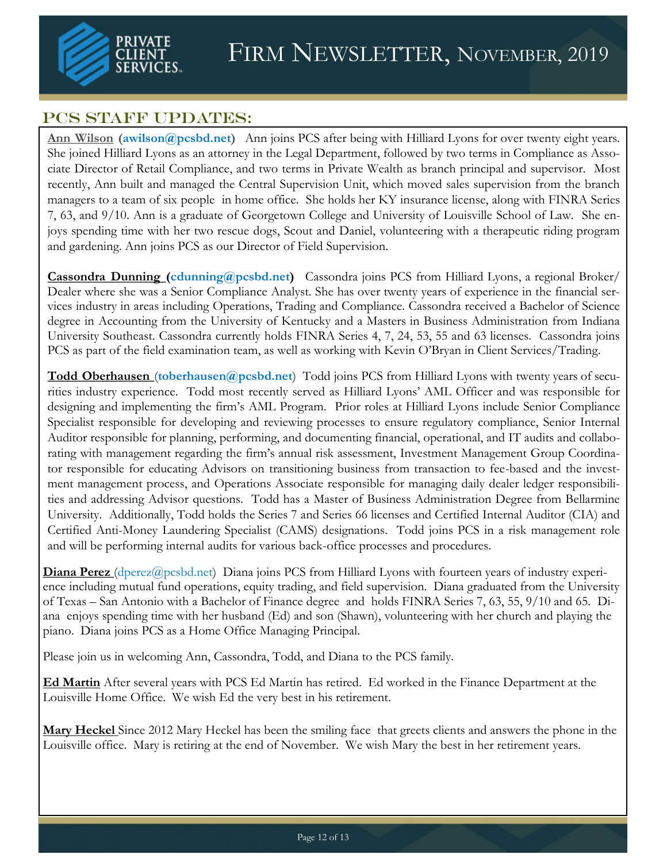

## PCS STAFF UPDATES:

**Ann Wilson (awilson@pcsbd.net)** Ann joins PCS after being with Hilliard Lyons for over twenty eight years. She joined Hilliard Lyons as an attorney in the Legal Department, followed by two terms in Compliance as Associate Director of Retail Compliance, and two terms in Private Wealth as branch principal and supervisor. Most recently, Ann built and managed the Central Supervision Unit, which moved sales supervision from the branch managers to a team of six people in home office. She holds her KY insurance license, along with FINRA Series 7, 63, and 9/10. Ann is a graduate of Georgetown College and University of Louisville School of Law. She enjoys spending time with her two rescue dogs, Scout and Daniel, volunteering with a therapeutic riding program and gardening. Ann joins PCS as our Director of Field Supervision.

**Cassondra Dunning (cdunning@pcsbd.net)** Cassondra joins PCS from Hilliard Lyons, a regional Broker/ Dealer where she was a Senior Compliance Analyst. She has over twenty years of experience in the financial services industry in areas including Operations, Trading and Compliance. Cassondra received a Bachelor of Science degree in Accounting from the University of Kentucky and a Masters in Business Administration from Indiana University Southeast. Cassondra currently holds FINRA Series 4, 7, 24, 53, 55 and 63 licenses. Cassondra joins PCS as part of the field examination team, as well as working with Kevin O'Bryan in Client Services/Trading.

**Todd Oberhausen** (**toberhausen@pcsbd.net**) Todd joins PCS from Hilliard Lyons with twenty years of securities industry experience. Todd most recently served as Hilliard Lyons' AML Officer and was responsible for designing and implementing the firm's AML Program. Prior roles at Hilliard Lyons include Senior Compliance Specialist responsible for developing and reviewing processes to ensure regulatory compliance, Senior Internal Auditor responsible for planning, performing, and documenting financial, operational, and IT audits and collaborating with management regarding the firm's annual risk assessment, Investment Management Group Coordinator responsible for educating Advisors on transitioning business from transaction to fee-based and the investment management process, and Operations Associate responsible for managing daily dealer ledger responsibilities and addressing Advisor questions. Todd has a Master of Business Administration Degree from Bellarmine University. Additionally, Todd holds the Series 7 and Series 66 licenses and Certified Internal Auditor (CIA) and Certified Anti-Money Laundering Specialist (CAMS) designations. Todd joins PCS in a risk management role and will be performing internal audits for various back-office processes and procedures.

**Diana Perez** (dperez@pcsbd.net) Diana joins PCS from Hilliard Lyons with fourteen years of industry experience including mutual fund operations, equity trading, and field supervision. Diana graduated from the University of Texas – San Antonio with a Bachelor of Finance degree and holds FINRA Series 7, 63, 55, 9/10 and 65. Diana enjoys spending time with her husband (Ed) and son (Shawn), volunteering with her church and playing the piano. Diana joins PCS as a Home Office Managing Principal.

Please join us in welcoming Ann, Cassondra, Todd, and Diana to the PCS family.

**Ed Martin** After several years with PCS Ed Martin has retired. Ed worked in the Finance Department at the Louisville Home Office. We wish Ed the very best in his retirement.

**Mary Heckel** Since 2012 Mary Heckel has been the smiling face that greets clients and answers the phone in the Louisville office. Mary is retiring at the end of November. We wish Mary the best in her retirement years.